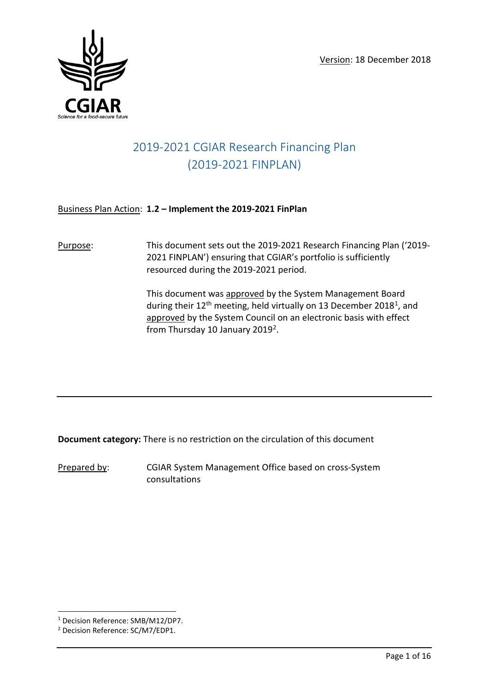

# 2019-2021 CGIAR Research Financing Plan (2019-2021 FINPLAN)

### Business Plan Action: **1.2 – Implement the 2019-2021 FinPlan**

Purpose: This document sets out the 2019-2021 Research Financing Plan ('2019- 2021 FINPLAN') ensuring that CGIAR's portfolio is sufficiently resourced during the 2019-2021 period.

> This document was approved by the System Management Board during their  $12<sup>th</sup>$  meeting, held virtually on 13 December 2018<sup>1</sup>, and approved by the System Council on an electronic basis with effect from Thursday 10 January 2019<sup>2</sup>.

**Document category:** There is no restriction on the circulation of this document

Prepared by: CGIAR System Management Office based on cross-System consultations

<span id="page-0-0"></span> <sup>1</sup> Decision Reference: SMB/M12/DP7.

<span id="page-0-1"></span><sup>2</sup> Decision Reference: SC/M7/EDP1.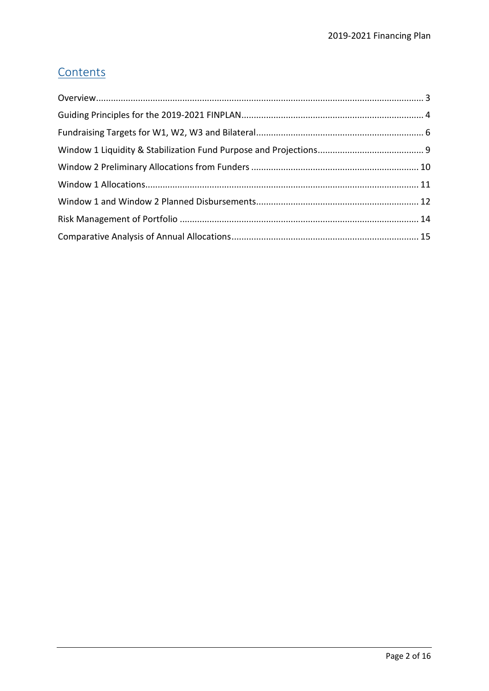# **Contents**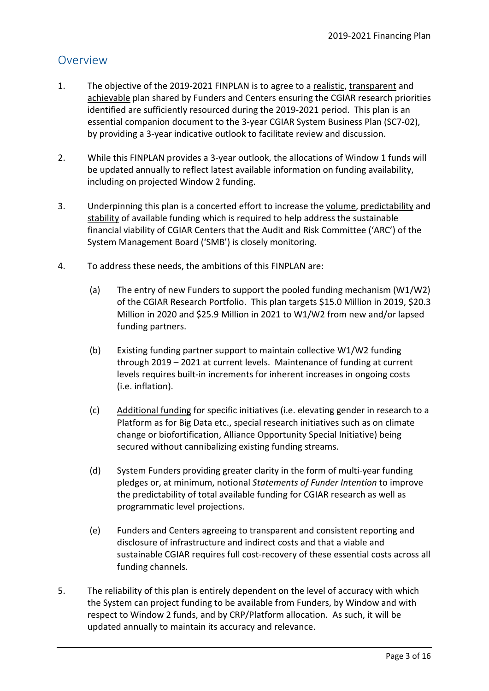## <span id="page-2-0"></span>Overview

- 1. The objective of the 2019-2021 FINPLAN is to agree to a realistic, transparent and achievable plan shared by Funders and Centers ensuring the CGIAR research priorities identified are sufficiently resourced during the 2019-2021 period. This plan is an essential companion document to the 3-year CGIAR System Business Plan (SC7-02), by providing a 3-year indicative outlook to facilitate review and discussion.
- 2. While this FINPLAN provides a 3-year outlook, the allocations of Window 1 funds will be updated annually to reflect latest available information on funding availability, including on projected Window 2 funding.
- 3. Underpinning this plan is a concerted effort to increase the volume, predictability and stability of available funding which is required to help address the sustainable financial viability of CGIAR Centers that the Audit and Risk Committee ('ARC') of the System Management Board ('SMB') is closely monitoring.
- 4. To address these needs, the ambitions of this FINPLAN are:
	- (a) The entry of new Funders to support the pooled funding mechanism (W1/W2) of the CGIAR Research Portfolio. This plan targets \$15.0 Million in 2019, \$20.3 Million in 2020 and \$25.9 Million in 2021 to W1/W2 from new and/or lapsed funding partners.
	- (b) Existing funding partner support to maintain collective W1/W2 funding through 2019 – 2021 at current levels. Maintenance of funding at current levels requires built-in increments for inherent increases in ongoing costs (i.e. inflation).
	- (c) Additional funding for specific initiatives (i.e. elevating gender in research to a Platform as for Big Data etc., special research initiatives such as on climate change or biofortification, Alliance Opportunity Special Initiative) being secured without cannibalizing existing funding streams.
	- (d) System Funders providing greater clarity in the form of multi-year funding pledges or, at minimum, notional *Statements of Funder Intention* to improve the predictability of total available funding for CGIAR research as well as programmatic level projections.
	- (e) Funders and Centers agreeing to transparent and consistent reporting and disclosure of infrastructure and indirect costs and that a viable and sustainable CGIAR requires full cost-recovery of these essential costs across all funding channels.
- 5. The reliability of this plan is entirely dependent on the level of accuracy with which the System can project funding to be available from Funders, by Window and with respect to Window 2 funds, and by CRP/Platform allocation. As such, it will be updated annually to maintain its accuracy and relevance.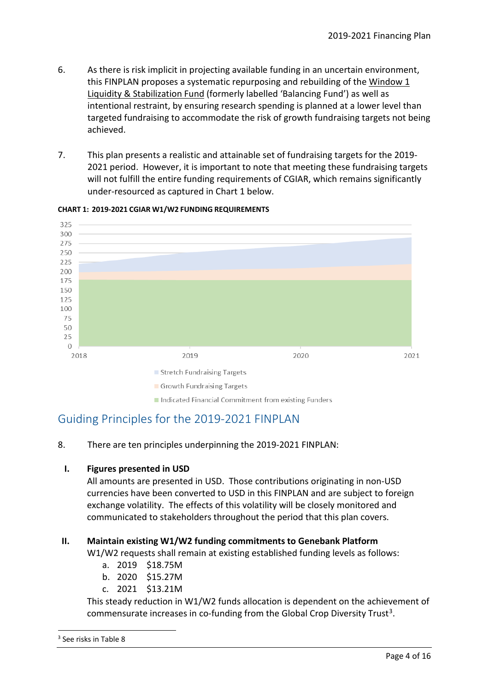- 6. As there is risk implicit in projecting available funding in an uncertain environment, this FINPLAN proposes a systematic repurposing and rebuilding of the Window 1 Liquidity & Stabilization Fund (formerly labelled 'Balancing Fund') as well as intentional restraint, by ensuring research spending is planned at a lower level than targeted fundraising to accommodate the risk of growth fundraising targets not being achieved.
- 7. This plan presents a realistic and attainable set of fundraising targets for the 2019- 2021 period. However, it is important to note that meeting these fundraising targets will not fulfill the entire funding requirements of CGIAR, which remains significantly under-resourced as captured in Chart 1 below.



#### **CHART 1: 2019-2021 CGIAR W1/W2 FUNDING REQUIREMENTS**

Indicated Financial Commitment from existing Funders

### <span id="page-3-0"></span>Guiding Principles for the 2019-2021 FINPLAN

8. There are ten principles underpinning the 2019-2021 FINPLAN:

### **I. Figures presented in USD**

All amounts are presented in USD. Those contributions originating in non-USD currencies have been converted to USD in this FINPLAN and are subject to foreign exchange volatility. The effects of this volatility will be closely monitored and communicated to stakeholders throughout the period that this plan covers.

### **II. Maintain existing W1/W2 funding commitments to Genebank Platform**

W1/W2 requests shall remain at existing established funding levels as follows:

- a. 2019 \$18.75M
- b. 2020 \$15.27M
- c. 2021 \$13.21M

This steady reduction in W1/W2 funds allocation is dependent on the achievement of commensurate increases in co-funding from the Global Crop Diversity Trust<sup>[3](#page-3-1)</sup>.

<span id="page-3-1"></span> <sup>3</sup> See risks in Table 8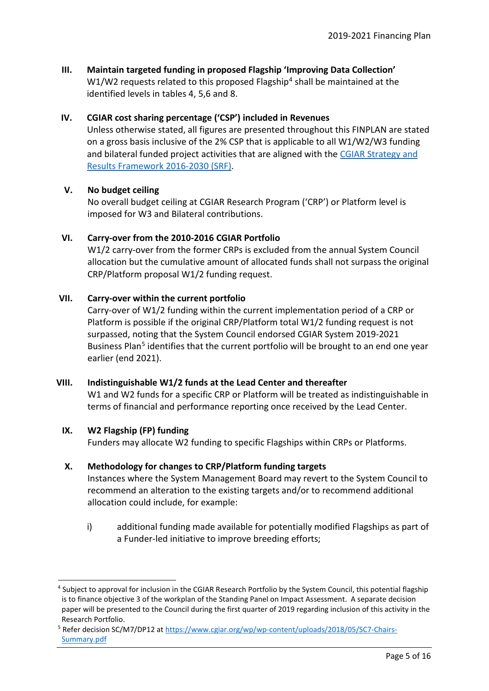**III. Maintain targeted funding in proposed Flagship 'Improving Data Collection'** W1/W2 requests related to this proposed Flagship<sup>[4](#page-4-0)</sup> shall be maintained at the identified levels in tables 4, 5,6 and 8.

#### **IV. CGIAR cost sharing percentage ('CSP') included in Revenues**

Unless otherwise stated, all figures are presented throughout this FINPLAN are stated on a gross basis inclusive of the 2% CSP that is applicable to all W1/W2/W3 funding and bilateral funded project activities that are aligned with the [CGIAR Strategy and](https://cgspace.cgiar.org/bitstream/handle/10947/3865/CGIAR%20Strategy%20and%20Results%20Framework.pdf)  [Results Framework](https://cgspace.cgiar.org/bitstream/handle/10947/3865/CGIAR%20Strategy%20and%20Results%20Framework.pdf) 2016-2030 (SRF).

#### **V. No budget ceiling**

No overall budget ceiling at CGIAR Research Program ('CRP') or Platform level is imposed for W3 and Bilateral contributions.

#### **VI. Carry-over from the 2010-2016 CGIAR Portfolio**

W1/2 carry-over from the former CRPs is excluded from the annual System Council allocation but the cumulative amount of allocated funds shall not surpass the original CRP/Platform proposal W1/2 funding request.

#### **VII. Carry-over within the current portfolio**

Carry-over of W1/2 funding within the current implementation period of a CRP or Platform is possible if the original CRP/Platform total W1/2 funding request is not surpassed, noting that the System Council endorsed CGIAR System 2019-2021 Business Plan<sup>[5](#page-4-1)</sup> identifies that the current portfolio will be brought to an end one year earlier (end 2021).

#### **VIII. Indistinguishable W1/2 funds at the Lead Center and thereafter**

W1 and W2 funds for a specific CRP or Platform will be treated as indistinguishable in terms of financial and performance reporting once received by the Lead Center.

#### **IX. W2 Flagship (FP) funding**

Funders may allocate W2 funding to specific Flagships within CRPs or Platforms.

#### **X. Methodology for changes to CRP/Platform funding targets**

Instances where the System Management Board may revert to the System Council to recommend an alteration to the existing targets and/or to recommend additional allocation could include, for example:

i) additional funding made available for potentially modified Flagships as part of a Funder-led initiative to improve breeding efforts;

<span id="page-4-0"></span> <sup>4</sup> Subject to approval for inclusion in the CGIAR Research Portfolio by the System Council, this potential flagship is to finance objective 3 of the workplan of the Standing Panel on Impact Assessment. A separate decision paper will be presented to the Council during the first quarter of 2019 regarding inclusion of this activity in the Research Portfolio.

<span id="page-4-1"></span><sup>5</sup> Refer decision SC/M7/DP12 a[t https://www.cgiar.org/wp/wp-content/uploads/2018/05/SC7-Chairs-](https://www.cgiar.org/wp/wp-content/uploads/2018/05/SC7-Chairs-Summary.pdf)[Summary.pdf](https://www.cgiar.org/wp/wp-content/uploads/2018/05/SC7-Chairs-Summary.pdf)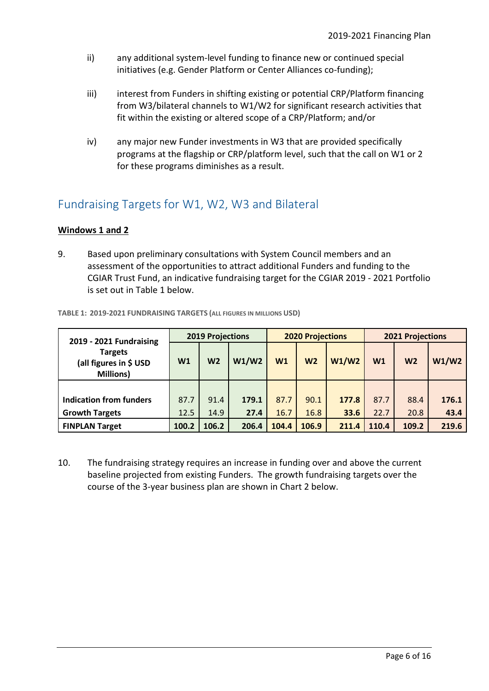- ii) any additional system-level funding to finance new or continued special initiatives (e.g. Gender Platform or Center Alliances co-funding);
- iii) iii) interest from Funders in shifting existing or potential CRP/Platform financing from W3/bilateral channels to W1/W2 for significant research activities that fit within the existing or altered scope of a CRP/Platform; and/or
- iv) any major new Funder investments in W3 that are provided specifically programs at the flagship or CRP/platform level, such that the call on W1 or 2 for these programs diminishes as a result.

### <span id="page-5-0"></span>Fundraising Targets for W1, W2, W3 and Bilateral

### **Windows 1 and 2**

9. Based upon preliminary consultations with System Council members and an assessment of the opportunities to attract additional Funders and funding to the CGIAR Trust Fund, an indicative fundraising target for the CGIAR 2019 - 2021 Portfolio is set out in Table 1 below.

| 2019 - 2021 Fundraising                                      | <b>2019 Projections</b> |                |       |                | <b>2020 Projections</b> |       | <b>2021 Projections</b> |                |       |  |
|--------------------------------------------------------------|-------------------------|----------------|-------|----------------|-------------------------|-------|-------------------------|----------------|-------|--|
| <b>Targets</b><br>(all figures in \$ USD<br><b>Millions)</b> | W1                      | W <sub>2</sub> | W1/W2 | W <sub>1</sub> | W <sub>2</sub>          | W1/W2 | W <sub>1</sub>          | W <sub>2</sub> | W1/W2 |  |
|                                                              |                         |                |       |                |                         |       |                         |                |       |  |
| <b>Indication from funders</b>                               | 87.7                    | 91.4           | 179.1 | 87.7           | 90.1                    | 177.8 | 87.7                    | 88.4           | 176.1 |  |
| <b>Growth Targets</b>                                        | 12.5                    | 14.9           | 27.4  | 16.7           | 16.8                    | 33.6  | 22.7                    | 20.8           | 43.4  |  |
| <b>FINPLAN Target</b>                                        | 100.2                   | 106.2          | 206.4 | 104.4          | 106.9                   | 211.4 | 110.4                   | 109.2          | 219.6 |  |

**TABLE 1: 2019-2021 FUNDRAISING TARGETS (ALL FIGURES IN MILLIONS USD)**

10. The fundraising strategy requires an increase in funding over and above the current baseline projected from existing Funders. The growth fundraising targets over the course of the 3-year business plan are shown in Chart 2 below.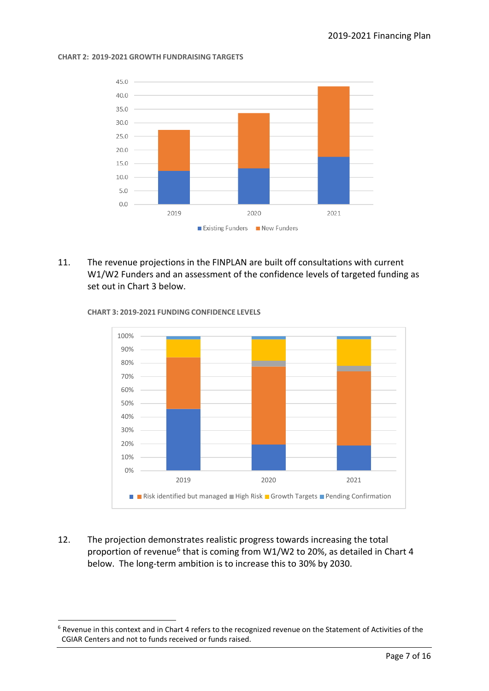#### **CHART 2: 2019-2021 GROWTH FUNDRAISING TARGETS**



11. The revenue projections in the FINPLAN are built off consultations with current W1/W2 Funders and an assessment of the confidence levels of targeted funding as set out in Chart 3 below.



**CHART 3: 2019-2021 FUNDING CONFIDENCE LEVELS**

12. The projection demonstrates realistic progress towards increasing the total proportion of revenue<sup>[6](#page-6-0)</sup> that is coming from W1/W2 to 20%, as detailed in Chart 4 below. The long-term ambition is to increase this to 30% by 2030.

<span id="page-6-0"></span> $6$  Revenue in this context and in Chart 4 refers to the recognized revenue on the Statement of Activities of the CGIAR Centers and not to funds received or funds raised.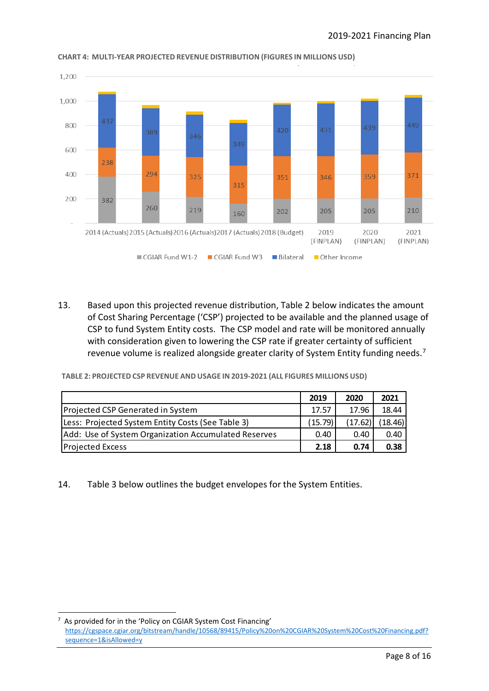

#### **CHART 4: MULTI-YEAR PROJECTED REVENUE DISTRIBUTION (FIGURES IN MILLIONS USD)**

13. Based upon this projected revenue distribution, Table 2 below indicates the amount of Cost Sharing Percentage ('CSP') projected to be available and the planned usage of CSP to fund System Entity costs. The CSP model and rate will be monitored annually with consideration given to lowering the CSP rate if greater certainty of sufficient revenue volume is realized alongside greater clarity of System Entity funding needs.<sup>[7](#page-7-0)</sup>

**TABLE 2: PROJECTED CSP REVENUE AND USAGE IN 2019-2021 (ALL FIGURES MILLIONS USD)**

|                                                      | 2019    | 2020    | 2021    |
|------------------------------------------------------|---------|---------|---------|
| Projected CSP Generated in System                    | 17.57   | 17.96   | 18.44   |
| Less: Projected System Entity Costs (See Table 3)    | (15.79) | (17.62) | (18.46) |
| Add: Use of System Organization Accumulated Reserves | 0.40    | 0.40    | 0.40    |
| <b>Projected Excess</b>                              | 2.18    | 0.74    | 0.38    |

14. Table 3 below outlines the budget envelopes for the System Entities.

<span id="page-7-0"></span><sup>-&</sup>lt;br>7  $<sup>7</sup>$  As provided for in the 'Policy on CGIAR System Cost Financing'</sup>

[https://cgspace.cgiar.org/bitstream/handle/10568/89415/Policy%20on%20CGIAR%20System%20Cost%20Financing.pdf?](https://cgspace.cgiar.org/bitstream/handle/10568/89415/Policy%20on%20CGIAR%20System%20Cost%20Financing.pdf?sequence=1&isAllowed=y) [sequence=1&isAllowed=y](https://cgspace.cgiar.org/bitstream/handle/10568/89415/Policy%20on%20CGIAR%20System%20Cost%20Financing.pdf?sequence=1&isAllowed=y)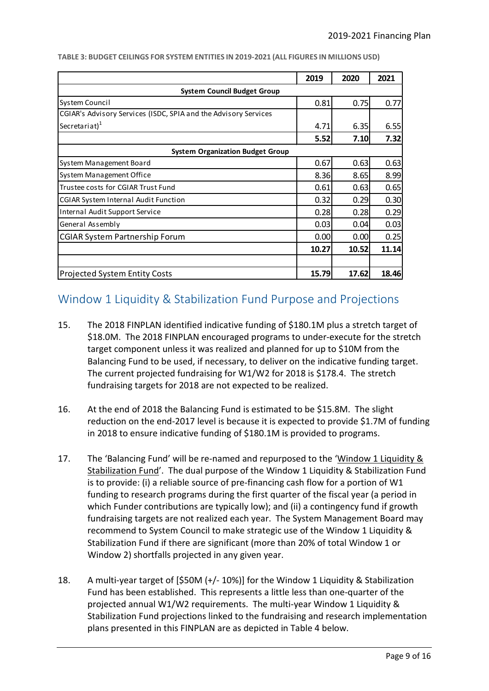|                                                                 | 2019  | 2020  | 2021  |  |  |  |
|-----------------------------------------------------------------|-------|-------|-------|--|--|--|
| <b>System Council Budget Group</b>                              |       |       |       |  |  |  |
| System Council                                                  | 0.81  | 0.75  | 0.77  |  |  |  |
| CGIAR's Advisory Services (ISDC, SPIA and the Advisory Services |       |       |       |  |  |  |
| Secretariat $)^1$                                               | 4.71  | 6.35  | 6.55  |  |  |  |
|                                                                 | 5.52  | 7.10  | 7.32  |  |  |  |
| <b>System Organization Budget Group</b>                         |       |       |       |  |  |  |
| System Management Board                                         | 0.67  | 0.63  | 0.63  |  |  |  |
| System Management Office                                        | 8.36  | 8.65  | 8.99  |  |  |  |
| Trustee costs for CGIAR Trust Fund                              | 0.61  | 0.63  | 0.65  |  |  |  |
| <b>CGIAR System Internal Audit Function</b>                     | 0.32  | 0.29  | 0.30  |  |  |  |
| Internal Audit Support Service                                  | 0.28  | 0.28  | 0.29  |  |  |  |
| General Assembly                                                | 0.03  | 0.04  | 0.03  |  |  |  |
| <b>CGIAR System Partnership Forum</b>                           | 0.00  | 0.001 | 0.25  |  |  |  |
|                                                                 | 10.27 | 10.52 | 11.14 |  |  |  |
|                                                                 |       |       |       |  |  |  |
| <b>Projected System Entity Costs</b>                            | 15.79 | 17.62 | 18.46 |  |  |  |

**TABLE 3: BUDGET CEILINGS FOR SYSTEM ENTITIES IN 2019-2021 (ALL FIGURES IN MILLIONS USD)**

### <span id="page-8-0"></span>Window 1 Liquidity & Stabilization Fund Purpose and Projections

- 15. The 2018 FINPLAN identified indicative funding of \$180.1M plus a stretch target of \$18.0M. The 2018 FINPLAN encouraged programs to under-execute for the stretch target component unless it was realized and planned for up to \$10M from the Balancing Fund to be used, if necessary, to deliver on the indicative funding target. The current projected fundraising for W1/W2 for 2018 is \$178.4. The stretch fundraising targets for 2018 are not expected to be realized.
- 16. At the end of 2018 the Balancing Fund is estimated to be \$15.8M. The slight reduction on the end-2017 level is because it is expected to provide \$1.7M of funding in 2018 to ensure indicative funding of \$180.1M is provided to programs.
- 17. The 'Balancing Fund' will be re-named and repurposed to the 'Window 1 Liquidity & Stabilization Fund'. The dual purpose of the Window 1 Liquidity & Stabilization Fund is to provide: (i) a reliable source of pre-financing cash flow for a portion of W1 funding to research programs during the first quarter of the fiscal year (a period in which Funder contributions are typically low); and (ii) a contingency fund if growth fundraising targets are not realized each year. The System Management Board may recommend to System Council to make strategic use of the Window 1 Liquidity & Stabilization Fund if there are significant (more than 20% of total Window 1 or Window 2) shortfalls projected in any given year.
- 18. A multi-year target of [\$50M (+/- 10%)] for the Window 1 Liquidity & Stabilization Fund has been established. This represents a little less than one-quarter of the projected annual W1/W2 requirements. The multi-year Window 1 Liquidity & Stabilization Fund projections linked to the fundraising and research implementation plans presented in this FINPLAN are as depicted in Table 4 below.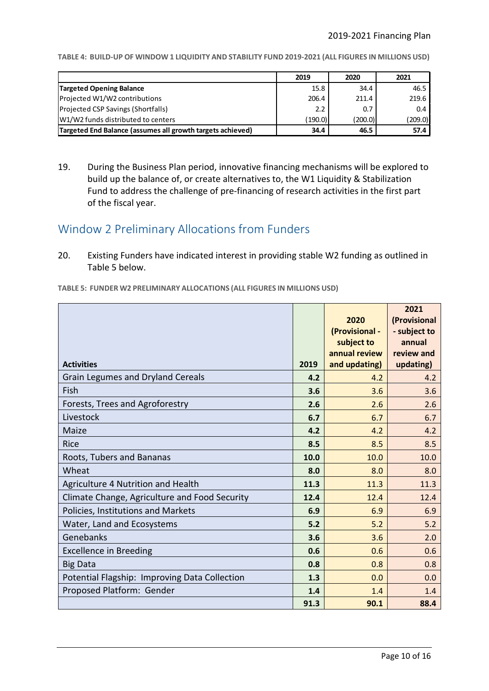**TABLE 4: BUILD-UP OF WINDOW 1 LIQUIDITY AND STABILITY FUND 2019-2021 (ALL FIGURES IN MILLIONS USD)**

|                                                            | 2019    | 2020    | 2021    |
|------------------------------------------------------------|---------|---------|---------|
| <b>Targeted Opening Balance</b>                            | 15.8    | 34.4    | 46.5    |
| Projected W1/W2 contributions                              | 206.4   | 211.4   | 219.6   |
| Projected CSP Savings (Shortfalls)                         | 2.2     | 0.7     | 0.4     |
| W1/W2 funds distributed to centers                         | (190.0) | (200.0) | (209.0) |
| Targeted End Balance (assumes all growth targets achieved) | 34.4    | 46.5    | 57.4    |

19. During the Business Plan period, innovative financing mechanisms will be explored to build up the balance of, or create alternatives to, the W1 Liquidity & Stabilization Fund to address the challenge of pre-financing of research activities in the first part of the fiscal year.

### <span id="page-9-0"></span>Window 2 Preliminary Allocations from Funders

20. Existing Funders have indicated interest in providing stable W2 funding as outlined in Table 5 below.

**TABLE 5: FUNDER W2 PRELIMINARY ALLOCATIONS (ALL FIGURES IN MILLIONS USD)**

|                                               |      |                | 2021         |
|-----------------------------------------------|------|----------------|--------------|
|                                               |      | 2020           | (Provisional |
|                                               |      | (Provisional - | - subject to |
|                                               |      | subject to     | annual       |
|                                               |      | annual review  | review and   |
| <b>Activities</b>                             | 2019 | and updating)  | updating)    |
| <b>Grain Legumes and Dryland Cereals</b>      | 4.2  | 4.2            | 4.2          |
| Fish                                          | 3.6  | 3.6            | 3.6          |
| Forests, Trees and Agroforestry               | 2.6  | 2.6            | 2.6          |
| Livestock                                     | 6.7  | 6.7            | 6.7          |
| Maize                                         | 4.2  | 4.2            | 4.2          |
| <b>Rice</b>                                   | 8.5  | 8.5            | 8.5          |
| Roots, Tubers and Bananas                     | 10.0 | 10.0           | 10.0         |
| Wheat                                         | 8.0  | 8.0            | 8.0          |
| Agriculture 4 Nutrition and Health            | 11.3 | 11.3           | 11.3         |
| Climate Change, Agriculture and Food Security | 12.4 | 12.4           | 12.4         |
| Policies, Institutions and Markets            | 6.9  | 6.9            | 6.9          |
| Water, Land and Ecosystems                    | 5.2  | 5.2            | 5.2          |
| Genebanks                                     | 3.6  | 3.6            | 2.0          |
| <b>Excellence in Breeding</b>                 | 0.6  | 0.6            | 0.6          |
| <b>Big Data</b>                               | 0.8  | 0.8            | 0.8          |
| Potential Flagship: Improving Data Collection | 1.3  | 0.0            | 0.0          |
| Proposed Platform: Gender                     | 1.4  | 1.4            | 1.4          |
|                                               | 91.3 | 90.1           | 88.4         |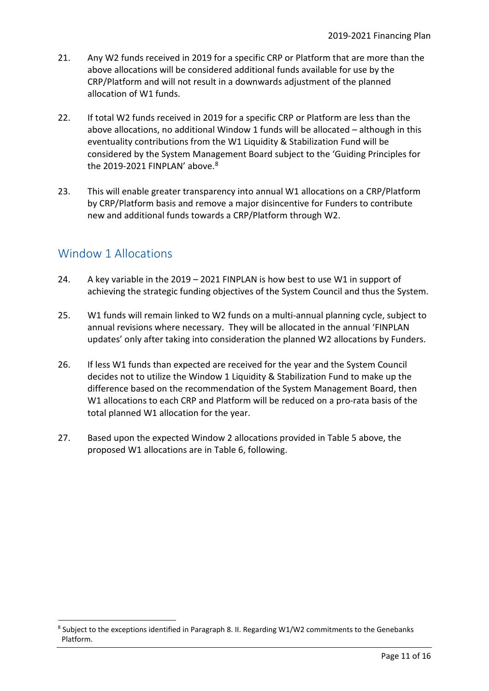- 21. Any W2 funds received in 2019 for a specific CRP or Platform that are more than the above allocations will be considered additional funds available for use by the CRP/Platform and will not result in a downwards adjustment of the planned allocation of W1 funds.
- 22. If total W2 funds received in 2019 for a specific CRP or Platform are less than the above allocations, no additional Window 1 funds will be allocated – although in this eventuality contributions from the W1 Liquidity & Stabilization Fund will be considered by the System Management Board subject to the 'Guiding Principles for the 2019-2021 FINPLAN' above.<sup>[8](#page-10-1)</sup>
- 23. This will enable greater transparency into annual W1 allocations on a CRP/Platform by CRP/Platform basis and remove a major disincentive for Funders to contribute new and additional funds towards a CRP/Platform through W2.

### <span id="page-10-0"></span>Window 1 Allocations

- 24. A key variable in the 2019 2021 FINPLAN is how best to use W1 in support of achieving the strategic funding objectives of the System Council and thus the System.
- 25. W1 funds will remain linked to W2 funds on a multi-annual planning cycle, subject to annual revisions where necessary. They will be allocated in the annual 'FINPLAN updates' only after taking into consideration the planned W2 allocations by Funders.
- 26. If less W1 funds than expected are received for the year and the System Council decides not to utilize the Window 1 Liquidity & Stabilization Fund to make up the difference based on the recommendation of the System Management Board, then W1 allocations to each CRP and Platform will be reduced on a pro-rata basis of the total planned W1 allocation for the year.
- 27. Based upon the expected Window 2 allocations provided in Table 5 above, the proposed W1 allocations are in Table 6, following.

<span id="page-10-1"></span><sup>&</sup>lt;sup>8</sup> Subject to the exceptions identified in Paragraph 8. II. Regarding W1/W2 commitments to the Genebanks Platform.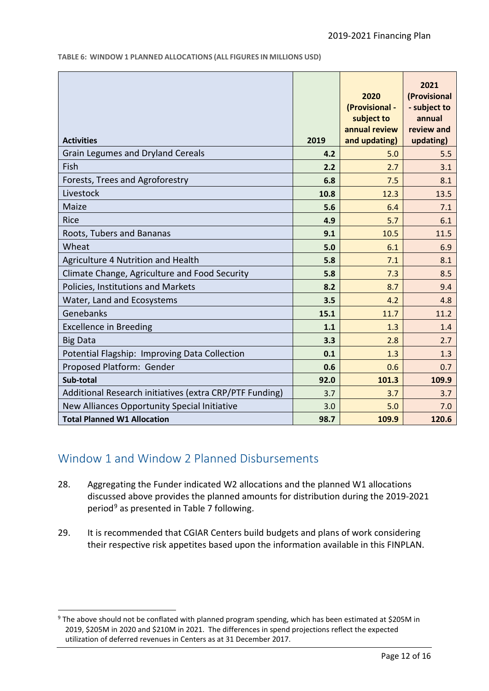**TABLE 6: WINDOW 1 PLANNED ALLOCATIONS (ALL FIGURES IN MILLIONS USD)**

| <b>Activities</b>                                       | 2019 | 2020<br>(Provisional -<br>subject to<br>annual review<br>and updating) | 2021<br>(Provisional<br>- subject to<br>annual<br>review and<br>updating) |
|---------------------------------------------------------|------|------------------------------------------------------------------------|---------------------------------------------------------------------------|
| <b>Grain Legumes and Dryland Cereals</b>                | 4.2  | 5.0                                                                    | 5.5                                                                       |
| Fish                                                    | 2.2  | 2.7                                                                    | 3.1                                                                       |
| Forests, Trees and Agroforestry                         | 6.8  | 7.5                                                                    | 8.1                                                                       |
| Livestock                                               | 10.8 | 12.3                                                                   | 13.5                                                                      |
| Maize                                                   | 5.6  | 6.4                                                                    | 7.1                                                                       |
| Rice                                                    | 4.9  | 5.7                                                                    | 6.1                                                                       |
| Roots, Tubers and Bananas                               | 9.1  | 10.5                                                                   | 11.5                                                                      |
| Wheat                                                   | 5.0  | 6.1                                                                    | 6.9                                                                       |
| Agriculture 4 Nutrition and Health                      | 5.8  | 7.1                                                                    | 8.1                                                                       |
| Climate Change, Agriculture and Food Security           | 5.8  | 7.3                                                                    | 8.5                                                                       |
| Policies, Institutions and Markets                      | 8.2  | 8.7                                                                    | 9.4                                                                       |
| Water, Land and Ecosystems                              | 3.5  | 4.2                                                                    | 4.8                                                                       |
| Genebanks                                               | 15.1 | 11.7                                                                   | 11.2                                                                      |
| <b>Excellence in Breeding</b>                           | 1.1  | 1.3                                                                    | 1.4                                                                       |
| <b>Big Data</b>                                         | 3.3  | 2.8                                                                    | 2.7                                                                       |
| Potential Flagship: Improving Data Collection           | 0.1  | 1.3                                                                    | 1.3                                                                       |
| Proposed Platform: Gender                               | 0.6  | 0.6                                                                    | 0.7                                                                       |
| Sub-total                                               | 92.0 | 101.3                                                                  | 109.9                                                                     |
| Additional Research initiatives (extra CRP/PTF Funding) | 3.7  | 3.7                                                                    | 3.7                                                                       |
| New Alliances Opportunity Special Initiative            | 3.0  | 5.0                                                                    | 7.0                                                                       |
| <b>Total Planned W1 Allocation</b>                      | 98.7 | 109.9                                                                  | 120.6                                                                     |

### <span id="page-11-0"></span>Window 1 and Window 2 Planned Disbursements

- 28. Aggregating the Funder indicated W2 allocations and the planned W1 allocations discussed above provides the planned amounts for distribution during the 2019-2021 period<sup>[9](#page-11-1)</sup> as presented in Table 7 following.
- 29. It is recommended that CGIAR Centers build budgets and plans of work considering their respective risk appetites based upon the information available in this FINPLAN.

<span id="page-11-1"></span> <sup>9</sup> The above should not be conflated with planned program spending, which has been estimated at \$205M in 2019, \$205M in 2020 and \$210M in 2021. The differences in spend projections reflect the expected utilization of deferred revenues in Centers as at 31 December 2017.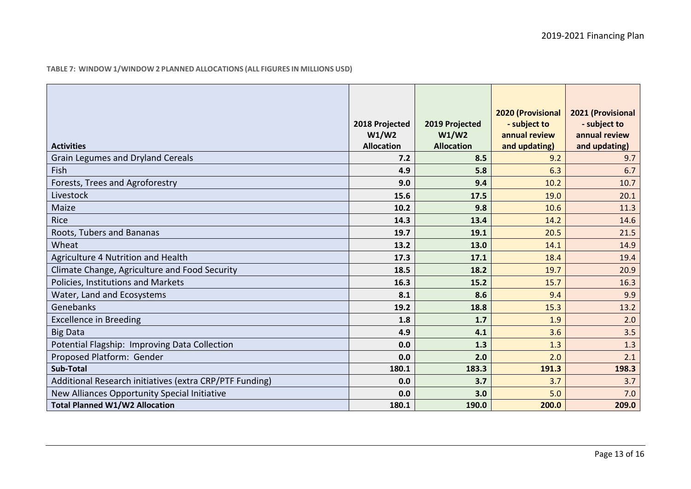|  |  |  |  |  |  | TABLE 7: WINDOW 1/WINDOW 2 PLANNED ALLOCATIONS (ALL FIGURES IN MILLIONS USD) |
|--|--|--|--|--|--|------------------------------------------------------------------------------|
|--|--|--|--|--|--|------------------------------------------------------------------------------|

| <b>Activities</b>                                       | 2018 Projected<br>W1/W2<br><b>Allocation</b> | 2019 Projected<br>W1/W2<br><b>Allocation</b> | <b>2020 (Provisional</b><br>- subject to<br>annual review<br>and updating) | 2021 (Provisional<br>- subject to<br>annual review<br>and updating) |
|---------------------------------------------------------|----------------------------------------------|----------------------------------------------|----------------------------------------------------------------------------|---------------------------------------------------------------------|
| <b>Grain Legumes and Dryland Cereals</b>                | 7.2                                          | 8.5                                          | 9.2                                                                        | 9.7                                                                 |
| Fish                                                    | 4.9                                          | 5.8                                          | 6.3                                                                        | 6.7                                                                 |
| Forests, Trees and Agroforestry                         | 9.0                                          | 9.4                                          | 10.2                                                                       | 10.7                                                                |
| Livestock                                               | 15.6                                         | 17.5                                         | 19.0                                                                       | 20.1                                                                |
| Maize                                                   | 10.2                                         | 9.8                                          | 10.6                                                                       | 11.3                                                                |
| Rice                                                    | 14.3                                         | 13.4                                         | 14.2                                                                       | 14.6                                                                |
| Roots, Tubers and Bananas                               | 19.7                                         | 19.1                                         | 20.5                                                                       | 21.5                                                                |
| Wheat                                                   | 13.2                                         | 13.0                                         | 14.1                                                                       | 14.9                                                                |
| Agriculture 4 Nutrition and Health                      | 17.3                                         | 17.1                                         | 18.4                                                                       | 19.4                                                                |
| Climate Change, Agriculture and Food Security           | 18.5                                         | 18.2                                         | 19.7                                                                       | 20.9                                                                |
| Policies, Institutions and Markets                      | 16.3                                         | 15.2                                         | 15.7                                                                       | 16.3                                                                |
| Water, Land and Ecosystems                              | 8.1                                          | 8.6                                          | 9.4                                                                        | 9.9                                                                 |
| Genebanks                                               | 19.2                                         | 18.8                                         | 15.3                                                                       | 13.2                                                                |
| <b>Excellence in Breeding</b>                           | 1.8                                          | 1.7                                          | 1.9                                                                        | 2.0                                                                 |
| <b>Big Data</b>                                         | 4.9                                          | 4.1                                          | 3.6                                                                        | 3.5                                                                 |
| Potential Flagship: Improving Data Collection           | 0.0                                          | 1.3                                          | 1.3                                                                        | 1.3                                                                 |
| Proposed Platform: Gender                               | 0.0                                          | 2.0                                          | 2.0                                                                        | 2.1                                                                 |
| <b>Sub-Total</b>                                        | 180.1                                        | 183.3                                        | 191.3                                                                      | 198.3                                                               |
| Additional Research initiatives (extra CRP/PTF Funding) | 0.0                                          | 3.7                                          | 3.7                                                                        | 3.7                                                                 |
| New Alliances Opportunity Special Initiative            | 0.0                                          | 3.0                                          | 5.0                                                                        | 7.0                                                                 |
| <b>Total Planned W1/W2 Allocation</b>                   | 180.1                                        | 190.0                                        | 200.0                                                                      | 209.0                                                               |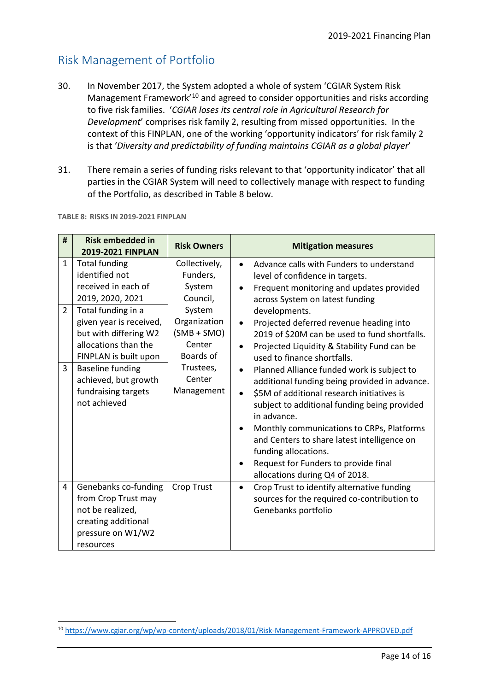## <span id="page-13-0"></span>Risk Management of Portfolio

- 30. In November 2017, the System adopted a whole of system 'CGIAR System Risk Management Framework<sup>'[10](#page-13-1)</sup> and agreed to consider opportunities and risks according to five risk families. '*CGIAR loses its central role in Agricultural Research for Development*' comprises risk family 2, resulting from missed opportunities. In the context of this FINPLAN, one of the working 'opportunity indicators' for risk family 2 is that '*Diversity and predictability of funding maintains CGIAR as a global player*'
- 31. There remain a series of funding risks relevant to that 'opportunity indicator' that all parties in the CGIAR System will need to collectively manage with respect to funding of the Portfolio, as described in Table 8 below.

| #                                                | <b>Risk embedded in</b><br>2019-2021 FINPLAN                                                                                                                                                                                                                                                           | <b>Risk Owners</b>                                                                                                                                     | <b>Mitigation measures</b>                                                                                                                                                                                                                                                                                                                                                                                                                                                                                                                                                                                                                                                                                                                                                                                          |
|--------------------------------------------------|--------------------------------------------------------------------------------------------------------------------------------------------------------------------------------------------------------------------------------------------------------------------------------------------------------|--------------------------------------------------------------------------------------------------------------------------------------------------------|---------------------------------------------------------------------------------------------------------------------------------------------------------------------------------------------------------------------------------------------------------------------------------------------------------------------------------------------------------------------------------------------------------------------------------------------------------------------------------------------------------------------------------------------------------------------------------------------------------------------------------------------------------------------------------------------------------------------------------------------------------------------------------------------------------------------|
| $\mathbf{1}$<br>$\overline{2}$<br>$\overline{3}$ | <b>Total funding</b><br>identified not<br>received in each of<br>2019, 2020, 2021<br>Total funding in a<br>given year is received,<br>but with differing W2<br>allocations than the<br>FINPLAN is built upon<br><b>Baseline funding</b><br>achieved, but growth<br>fundraising targets<br>not achieved | Collectively,<br>Funders,<br>System<br>Council,<br>System<br>Organization<br>$(SMB + SMO)$<br>Center<br>Boards of<br>Trustees,<br>Center<br>Management | Advance calls with Funders to understand<br>level of confidence in targets.<br>Frequent monitoring and updates provided<br>$\bullet$<br>across System on latest funding<br>developments.<br>Projected deferred revenue heading into<br>$\bullet$<br>2019 of \$20M can be used to fund shortfalls.<br>Projected Liquidity & Stability Fund can be<br>$\bullet$<br>used to finance shortfalls.<br>Planned Alliance funded work is subject to<br>additional funding being provided in advance.<br>\$5M of additional research initiatives is<br>$\bullet$<br>subject to additional funding being provided<br>in advance.<br>Monthly communications to CRPs, Platforms<br>and Centers to share latest intelligence on<br>funding allocations.<br>Request for Funders to provide final<br>allocations during Q4 of 2018. |
| 4                                                | Genebanks co-funding<br>from Crop Trust may<br>not be realized,<br>creating additional<br>pressure on W1/W2<br>resources                                                                                                                                                                               | <b>Crop Trust</b>                                                                                                                                      | Crop Trust to identify alternative funding<br>$\bullet$<br>sources for the required co-contribution to<br>Genebanks portfolio                                                                                                                                                                                                                                                                                                                                                                                                                                                                                                                                                                                                                                                                                       |

**TABLE 8: RISKS IN 2019-2021 FINPLAN**

<span id="page-13-1"></span> <sup>10</sup> <https://www.cgiar.org/wp/wp-content/uploads/2018/01/Risk-Management-Framework-APPROVED.pdf>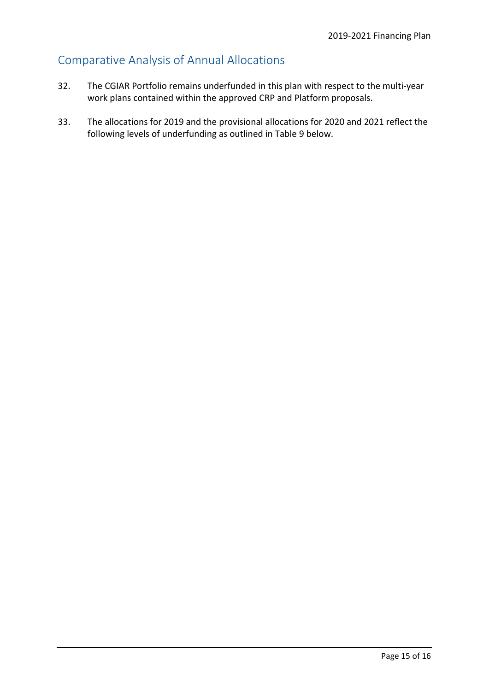# <span id="page-14-0"></span>Comparative Analysis of Annual Allocations

- 32. The CGIAR Portfolio remains underfunded in this plan with respect to the multi-year work plans contained within the approved CRP and Platform proposals.
- 33. The allocations for 2019 and the provisional allocations for 2020 and 2021 reflect the following levels of underfunding as outlined in Table 9 below.